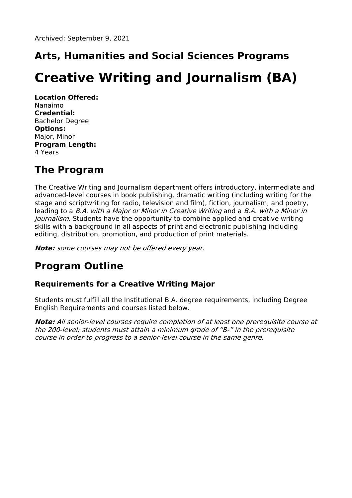# **Arts, Humanities and Social Sciences Programs**

# **Creative Writing and Journalism (BA)**

**Location Offered:** Nanaimo **Credential:** Bachelor Degree **Options:** Major, Minor **Program Length:** 4 Years

# **The Program**

The Creative Writing and Journalism department offers introductory, intermediate and advanced-level courses in book publishing, dramatic writing (including writing for the stage and scriptwriting for radio, television and film), fiction, journalism, and poetry, leading to a B.A. with <sup>a</sup> Major or Minor in Creative Writing and a B.A. with <sup>a</sup> Minor in Journalism. Students have the opportunity to combine applied and creative writing skills with a background in all aspects of print and electronic publishing including editing, distribution, promotion, and production of print materials.

**Note:** some courses may not be offered every year.

# **Program Outline**

## **Requirements for a Creative Writing Major**

Students must fulfill all the Institutional B.A. degree requirements, including Degree English Requirements and courses listed below.

**Note:** All senior-level courses require completion of at least one prerequisite course at the 200-level; students must attain <sup>a</sup> minimum grade of "B-" in the prerequisite course in order to progress to <sup>a</sup> senior-level course in the same genre.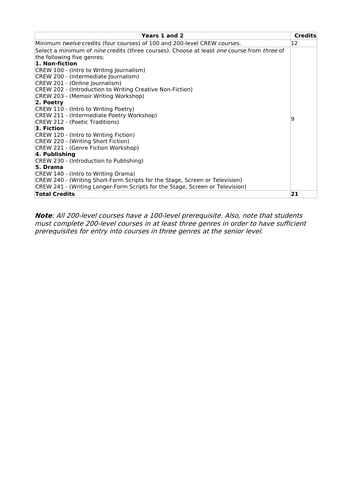| Years 1 and 2                                                                                                   | <b>Credits</b> |
|-----------------------------------------------------------------------------------------------------------------|----------------|
| Minimum twelve credits (four courses) of 100 and 200-level CREW courses.                                        | 12             |
| Select a minimum of <i>nine</i> credits (three courses). Choose at least <i>one</i> course from <i>three</i> of |                |
| the following five genres:                                                                                      |                |
| 1. Non-fiction                                                                                                  |                |
| CREW 100 - (Intro to Writing Journalism)                                                                        |                |
| CREW 200 - (Intermediate Journalism)                                                                            |                |
| CREW 201 - (Online Journalism)                                                                                  |                |
| CREW 202 - (Introduction to Writing Creative Non-Fiction)                                                       |                |
| CREW 203 - (Memoir Writing Workshop)                                                                            |                |
| 2. Poetry                                                                                                       |                |
| CREW 110 - (Intro to Writing Poetry)                                                                            |                |
| CREW 211 - (Intermediate Poetry Workshop)                                                                       |                |
| CREW 212 - (Poetic Traditions)                                                                                  | 19             |
| 3. Fiction                                                                                                      |                |
| CREW 120 - (Intro to Writing Fiction)                                                                           |                |
| CREW 220 - (Writing Short Fiction)                                                                              |                |
| CREW 221 - (Genre Fiction Workshop)                                                                             |                |
| 4. Publishing                                                                                                   |                |
| CREW 230 - (Introduction to Publishing)                                                                         |                |
| 5. Drama                                                                                                        |                |
| CREW 140 - (Intro to Writing Drama)                                                                             |                |
| CREW 240 - (Writing Short-Form Scripts for the Stage, Screen or Television)                                     |                |
| CREW 241 - (Writing Longer-Form Scripts for the Stage, Screen or Television)                                    |                |
| <b>Total Credits</b>                                                                                            | 21             |

**Note**: All 200-level courses have <sup>a</sup> 100-level prerequisite. Also, note that students must complete 200-level courses in at least three genres in order to have sufficient prerequisites for entry into courses in three genres at the senior level.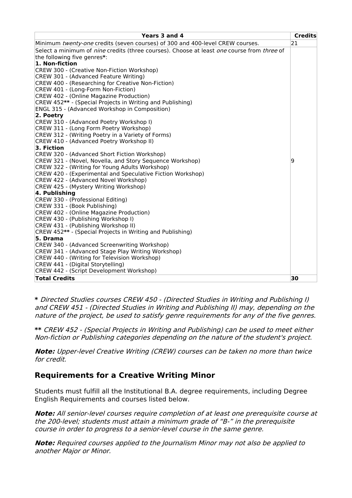| Years 3 and 4                                                                                                   | <b>Credits</b> |
|-----------------------------------------------------------------------------------------------------------------|----------------|
| Minimum twenty-one credits (seven courses) of 300 and 400-level CREW courses.                                   | 21             |
| Select a minimum of <i>nine</i> credits (three courses). Choose at least <i>one</i> course from <i>three</i> of |                |
| the following five genres*:                                                                                     |                |
| 1. Non-fiction                                                                                                  |                |
| CREW 300 - (Creative Non-Fiction Workshop)                                                                      |                |
| CREW 301 - (Advanced Feature Writing)                                                                           |                |
| CREW 400 - (Researching for Creative Non-Fiction)                                                               |                |
| CREW 401 - (Long-Form Non-Fiction)                                                                              |                |
| CREW 402 - (Online Magazine Production)                                                                         |                |
| CREW 452** - (Special Projects in Writing and Publishing)                                                       |                |
| <b>ENGL 315 - (Advanced Workshop in Composition)</b>                                                            |                |
| 2. Poetry                                                                                                       |                |
| CREW 310 - (Advanced Poetry Workshop I)                                                                         |                |
| CREW 311 - (Long Form Poetry Workshop)                                                                          |                |
| CREW 312 - (Writing Poetry in a Variety of Forms)                                                               |                |
| CREW 410 - (Advanced Poetry Workshop II)                                                                        |                |
| 3. Fiction                                                                                                      |                |
| CREW 320 - (Advanced Short Fiction Workshop)                                                                    |                |
| CREW 321 - (Novel, Novella, and Story Sequence Workshop)                                                        | 9              |
| CREW 322 - (Writing for Young Adults Workshop)                                                                  |                |
| CREW 420 - (Experimental and Speculative Fiction Workshop)                                                      |                |
| CREW 422 - (Advanced Novel Workshop)                                                                            |                |
| CREW 425 - (Mystery Writing Workshop)                                                                           |                |
| 4. Publishing                                                                                                   |                |
| CREW 330 - (Professional Editing)                                                                               |                |
| CREW 331 - (Book Publishing)                                                                                    |                |
| CREW 402 - (Online Magazine Production)                                                                         |                |
| CREW 430 - (Publishing Workshop I)                                                                              |                |
| CREW 431 - (Publishing Workshop II)<br>CREW 452** - (Special Projects in Writing and Publishing)                |                |
| 5. Drama                                                                                                        |                |
|                                                                                                                 |                |
| CREW 340 - (Advanced Screenwriting Workshop)<br>CREW 341 - (Advanced Stage Play Writing Workshop)               |                |
| CREW 440 - (Writing for Television Workshop)                                                                    |                |
| CREW 441 - (Digital Storytelling)                                                                               |                |
| CREW 442 - (Script Development Workshop)                                                                        |                |
| <b>Total Credits</b>                                                                                            | 30             |
|                                                                                                                 |                |

**\*** Directed Studies courses CREW 450 - (Directed Studies in Writing and Publishing I) and CREW 451 - (Directed Studies in Writing and Publishing II) may, depending on the nature of the project, be used to satisfy genre requirements for any of the five genres.

**\*\*** CREW 452 - (Special Projects in Writing and Publishing) can be used to meet either Non-fiction or Publishing categories depending on the nature of the student's project.

**Note:** Upper-level Creative Writing (CREW) courses can be taken no more than twice for credit.

## **Requirements for a Creative Writing Minor**

Students must fulfill all the Institutional B.A. degree requirements, including Degree English Requirements and courses listed below.

**Note:** All senior-level courses require completion of at least one prerequisite course at the 200-level; students must attain <sup>a</sup> minimum grade of "B-" in the prerequisite course in order to progress to <sup>a</sup> senior-level course in the same genre.

**Note:** Required courses applied to the Journalism Minor may not also be applied to another Major or Minor.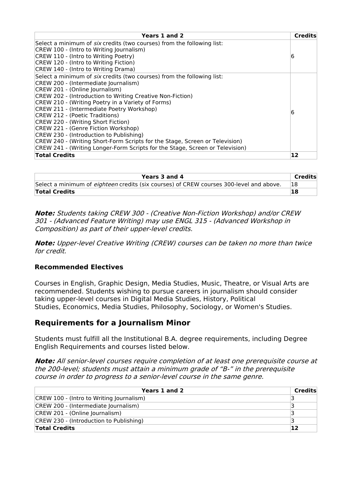| Years 1 and 2                                                                 | <b>Credits</b> |
|-------------------------------------------------------------------------------|----------------|
| Select a minimum of <i>six</i> credits (two courses) from the following list: |                |
| CREW 100 - (Intro to Writing Journalism)                                      |                |
| CREW 110 - (Intro to Writing Poetry)                                          | 6              |
| CREW 120 - (Intro to Writing Fiction)                                         |                |
| CREW 140 - (Intro to Writing Drama)                                           |                |
| Select a minimum of <i>six</i> credits (two courses) from the following list: |                |
| CREW 200 - (Intermediate Journalism)                                          |                |
| CREW 201 - (Online Journalism)                                                |                |
| CREW 202 - (Introduction to Writing Creative Non-Fiction)                     |                |
| CREW 210 - (Writing Poetry in a Variety of Forms)                             |                |
| CREW 211 - (Intermediate Poetry Workshop)                                     | 6              |
| CREW 212 - (Poetic Traditions)                                                |                |
| CREW 220 - (Writing Short Fiction)                                            |                |
| CREW 221 - (Genre Fiction Workshop)                                           |                |
| CREW 230 - (Introduction to Publishing)                                       |                |
| CREW 240 - (Writing Short-Form Scripts for the Stage, Screen or Television)   |                |
| CREW 241 - (Writing Longer-Form Scripts for the Stage, Screen or Television)  |                |
| <b>Total Credits</b>                                                          | 12             |

| Years 3 and 4                                                                                  | Credits |
|------------------------------------------------------------------------------------------------|---------|
| Select a minimum of <i>eighteen</i> credits (six courses) of CREW courses 300-level and above. | 18      |
| Total Credits                                                                                  | 18      |

**Note:** Students taking CREW 300 - (Creative Non-Fiction Workshop) and/or CREW 301 - (Advanced Feature Writing) may use ENGL 315 - (Advanced Workshop in Composition) as part of their upper-level credits.

**Note:** Upper-level Creative Writing (CREW) courses can be taken no more than twice for credit.

#### **Recommended Electives**

Courses in English, Graphic Design, Media Studies, Music, Theatre, or Visual Arts are recommended. Students wishing to pursue careers in journalism should consider taking upper-level courses in Digital Media Studies, History, Political Studies, Economics, Media Studies, Philosophy, Sociology, or Women's Studies.

## **Requirements for a Journalism Minor**

Students must fulfill all the Institutional B.A. degree requirements, including Degree English Requirements and courses listed below.

**Note:** All senior-level courses require completion of at least one prerequisite course at the 200-level; students must attain <sup>a</sup> minimum grade of "B-" in the prerequisite course in order to progress to <sup>a</sup> senior-level course in the same genre.

| Years 1 and 2                            | Credits |
|------------------------------------------|---------|
| CREW 100 - (Intro to Writing Journalism) |         |
| CREW 200 - (Intermediate Journalism)     |         |
| CREW 201 - (Online Journalism)           |         |
| CREW 230 - (Introduction to Publishing)  |         |
| <b>Total Credits</b>                     | 12      |